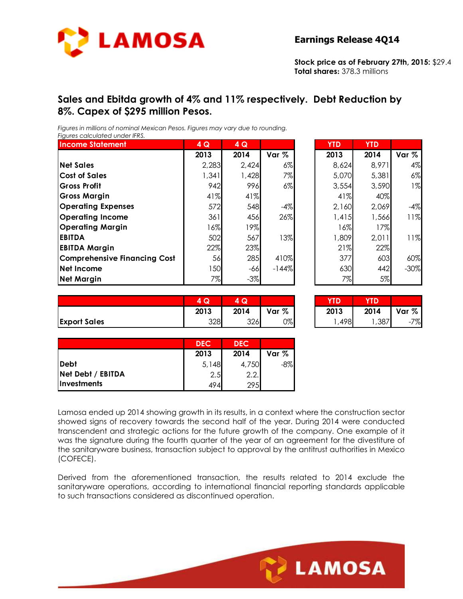

**Stock price as of February 27th, 2015:** \$29.4 **Total shares:** 378.3 millions

## **Sales and Ebitda growth of 4% and 11% respectively. Debt Reduction by 8%. Capex of \$295 million Pesos.**

*Figures in millions of nominal Mexican Pesos. Figures may vary due to rounding. Figures calculated under IFRS.* 

| <b>Income Statement</b>             | 4 Q   | 4Q     |         | <b>YTD</b> | <b>YTD</b> |        |
|-------------------------------------|-------|--------|---------|------------|------------|--------|
|                                     | 2013  | 2014   | Var %   | 2013       | 2014       | Var %  |
| <b>Net Sales</b>                    | 2,283 | 2,424  | $6\%$   | 8,624      | 8,971      | 4%     |
| <b>Cost of Sales</b>                | 1,341 | 1,428  | 7%      | 5,070      | 5,381      | 6%     |
| <b>Gross Profit</b>                 | 942   | 996    | $6\%$   | 3,554      | 3,590      | $1\%$  |
| <b>Gross Margin</b>                 | 41%   | 41%    |         | 41%        | 40%        |        |
| <b>Operating Expenses</b>           | 572   | 548    | $-4%$   | 2,160      | 2,069      | $-4%$  |
| <b>Operating Income</b>             | 361   | 456    | 26%     | 1,415      | 1,566      | 11%    |
| <b>Operating Margin</b>             | 16%   | 19%    |         | 16%        | 17%        |        |
| <b>EBITDA</b>                       | 502   | 567    | 13%     | 1,809      | 2,011      | 11%    |
| <b>EBITDA Margin</b>                | 22%   | 23%    |         | 21%        | 22%        |        |
| <b>Comprehensive Financing Cost</b> | 56    | 285    | 410%    | 377        | 603        | 60%    |
| Net Income                          | 150   | $-66$  | $-144%$ | 630        | 442        | $-30%$ |
| <b>Net Margin</b>                   | 7%    | $-3\%$ |         | 7%         | 5%         |        |

| $\overline{4}$ Q | 4Q    |                  | <b>YTD</b> | <b>YTD</b> |         |
|------------------|-------|------------------|------------|------------|---------|
| 2013             | 2014  | Var <sub>%</sub> | 2013       | 2014       | Var %   |
| 2,283            | 2,424 | $6\%$            | 8,624      | 8,971      | 4%      |
| 1,341            | 1,428 | 7%               | 5,070      | 5,381      | $6\%$   |
| 942              | 996   | $6\%$            | 3,554      | 3,590      | $1\%$   |
| 41%              | 41%   |                  | 41%        | 40%        |         |
| 572              | 548   | $-4%$            | 2,160      | 2,069      | $-4%$   |
| 361              | 456   | 26%              | 1,415      | 1,566      | 11%     |
| 16%              | 19%   |                  | 16%        | 17%        |         |
| 502              | 567   | 13%              | 1,809      | 2,011      | 11%     |
| 22%              | 23%   |                  | 21%        | 22%        |         |
| 56               | 285   | 410%             | 377        | 603        | 60%     |
| 150              | $-66$ | $-144%$          | 630        | 442        | $-30\%$ |
| 7%               | $-3%$ |                  | 7%         | 5%         |         |

|                     | $\sim$<br>4<br>ש | $\sim$<br>w |       | YD.  | <b>YTD</b> |            |
|---------------------|------------------|-------------|-------|------|------------|------------|
|                     | 2013             | 2014        | Var % | 2013 | 2014       | Var %      |
| <b>Export Sales</b> | 328              | 326         | 0%    | ,498 | ,387       | 7%<br>$-1$ |

| Q<br>4 | Q<br>д |       | TD.  |       |       |
|--------|--------|-------|------|-------|-------|
| 2013   | 2014   | Var % | 2013 | 2014  | Var % |
| 328    | 326    | 0%    | 498  | .,387 | 7%    |

|                   | <b>DEC</b> | <b>DEC</b> |        |
|-------------------|------------|------------|--------|
|                   | 2013       | 2014       | Var %  |
| <b>Debt</b>       | 5,148      | 4,750      | $-8\%$ |
| Net Debt / EBITDA | 2.5        | 2.2.       |        |
| Investments       | 494        | 295        |        |

Lamosa ended up 2014 showing growth in its results, in a context where the construction sector showed signs of recovery towards the second half of the year. During 2014 were conducted transcendent and strategic actions for the future growth of the company. One example of it was the signature during the fourth quarter of the year of an agreement for the divestiture of the sanitaryware business, transaction subject to approval by the antitrust authorities in Mexico (COFECE).

Derived from the aforementioned transaction, the results related to 2014 exclude the sanitaryware operations, according to international financial reporting standards applicable to such transactions considered as discontinued operation.

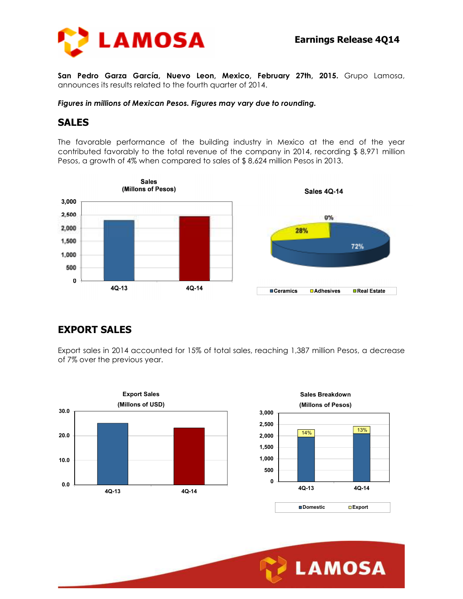

**San Pedro Garza García, Nuevo Leon, Mexico, February 27th, 2015.** Grupo Lamosa, announces its results related to the fourth quarter of 2014.

*Figures in millions of Mexican Pesos. Figures may vary due to rounding.* 

#### **SALES**

The favorable performance of the building industry in Mexico at the end of the year contributed favorably to the total revenue of the company in 2014, recording \$ 8,971 million Pesos, a growth of 4% when compared to sales of \$ 8,624 million Pesos in 2013.



## **EXPORT SALES**

Export sales in 2014 accounted for 15% of total sales, reaching 1,387 million Pesos, a decrease of 7% over the previous year.



Ī

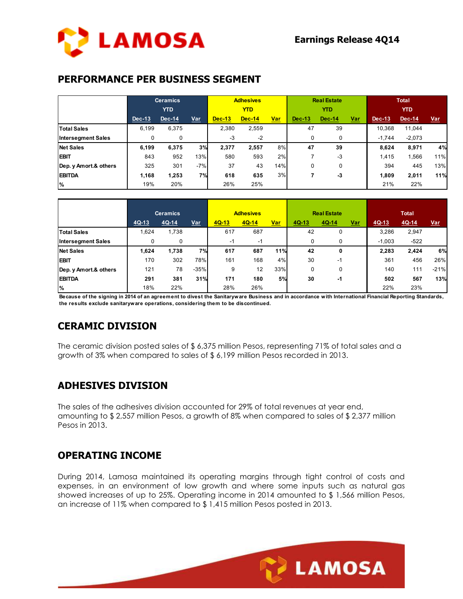## **PERFORMANCE PER BUSINESS SEGMENT**

|                           | <b>Ceramics</b> |        |       |               | <b>Adhesives</b> |            |               | <b>Real Estate</b> |            | <b>Total</b>  |            |            |  |
|---------------------------|-----------------|--------|-------|---------------|------------------|------------|---------------|--------------------|------------|---------------|------------|------------|--|
|                           | <b>YTD</b>      |        |       |               | <b>YTD</b>       |            |               | <b>YTD</b>         |            |               | <b>YTD</b> |            |  |
|                           | <b>Dec-13</b>   | Dec-14 | Var   | <b>Dec-13</b> | <b>Dec-14</b>    | <u>Var</u> | <b>Dec-13</b> | <b>Dec-14</b>      | <u>Var</u> | <b>Dec-13</b> | $Dec-14$   | <b>Var</b> |  |
| <b>Total Sales</b>        | 6.199           | 6,375  |       | 2,380         | 2,559            |            | 47            | 39                 |            | 10,368        | 11,044     |            |  |
| <b>Intersegment Sales</b> | 0               | 0      |       | -3            | $-2$             |            |               | 0                  |            | $-1.744$      | $-2,073$   |            |  |
| <b>Net Sales</b>          | 6,199           | 6,375  | 3%    | 2,377         | 2,557            | 8%         | 47            | 39                 |            | 8,624         | 8,971      | 4%         |  |
| <b>EBIT</b>               | 843             | 952    | 13%   | 580           | 593              | 2%         |               | $-3$               |            | 1.415         | 1,566      | 11%        |  |
| Dep. y Amort.& others     | 325             | 301    | $-7%$ | 37            | 43               | 14%        | 0             | 0                  |            | 394           | 445        | 13%        |  |
| <b>EBITDA</b>             | 1,168           | 1,253  | 7%    | 618           | 635              | 3%         |               | -3                 |            | 1.809         | 2,011      | 11%        |  |
| $\%$                      | 19%             | 20%    |       | 26%           | 25%              |            |               |                    |            | 21%           | 22%        |            |  |

|                           |         | <b>Ceramics</b> |            |         | <b>Adhesives</b> |            |       | <b>Real Estate</b> |            |          | <b>Total</b> |            |
|---------------------------|---------|-----------------|------------|---------|------------------|------------|-------|--------------------|------------|----------|--------------|------------|
|                           | $4Q-13$ | $4Q-14$         | <u>Var</u> | $4Q-13$ | $4Q-14$          | <u>Var</u> | 4Q-13 | 4Q-14              | <u>Var</u> | 4Q-13    | $4Q-14$      | <b>Var</b> |
| <b>Total Sales</b>        | 1,624   | 1,738           |            | 617     | 687              |            | 42    | 0                  |            | 3,286    | 2,947        |            |
| <b>Intersegment Sales</b> | 0       | 0               |            | $-1$    | -1               |            | 0     | 0                  |            | $-1,003$ | $-522$       |            |
| <b>Net Sales</b>          | 1,624   | 1,738           | 7%         | 617     | 687              | 11%        | 42    | 0                  |            | 2,283    | 2,424        | 6%         |
| <b>EBIT</b>               | 170     | 302             | 78%        | 161     | 168              | 4%         | 30    | $-1$               |            | 361      | 456          | 26%        |
| Dep. y Amort.& others     | 121     | 78              | $-35%$     | 9       | 12               | 33%        | 0     | 0                  |            | 140      | 111          | $-21%$     |
| <b>EBITDA</b>             | 291     | 381             | 31%        | 171     | 180              | 5%         | 30    | -1                 |            | 502      | 567          | 13%        |
| %                         | 18%     | 22%             |            | 28%     | 26%              |            |       |                    |            | 22%      | 23%          |            |

**Because of the signing in 2014 of an agreement to divest the Sanitaryware Business and in accordance with International Financial Reporting Standards, the results exclude sanitaryware operations, considering them to be discontinued.**

# **CERAMIC DIVISION**

The ceramic division posted sales of \$ 6,375 million Pesos, representing 71% of total sales and a growth of 3% when compared to sales of \$ 6,199 million Pesos recorded in 2013.

## **ADHESIVES DIVISION**

The sales of the adhesives division accounted for 29% of total revenues at year end, amounting to \$ 2,557 million Pesos, a growth of 8% when compared to sales of \$ 2,377 million Pesos in 2013.

## **OPERATING INCOME**

During 2014, Lamosa maintained its operating margins through tight control of costs and expenses, in an environment of low growth and where some inputs such as natural gas showed increases of up to 25%. Operating income in 2014 amounted to \$ 1,566 million Pesos, an increase of 11% when compared to \$ 1,415 million Pesos posted in 2013.

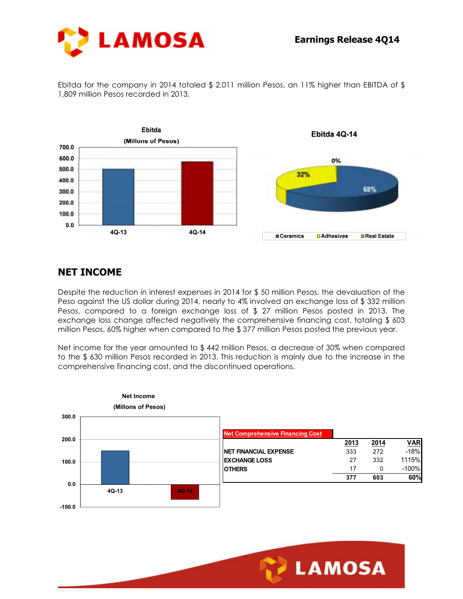

Ebitda for the company in 2014 totaled \$ 2,011 million Pesos, an 11% higher than EBITDA of \$ 1,809 million Pesos recorded in 2013.



## **NET INCOME**

Despite the reduction in interest expenses in 2014 for \$ 50 million Pesos, the devaluation of the Peso against the US dollar during 2014, nearly to 4% involved an exchange loss of \$ 332 million Pesos, compared to a foreign exchange loss of \$ 27 million Pesos posted in 2013. The exchange loss change affected negatively the comprehensive financing cost, totaling \$ 603 million Pesos, 60% higher when compared to the \$ 377 million Pesos posted the previous year.

Net income for the year amounted to \$442 million Pesos, a decrease of 30% when compared to the \$ 630 million Pesos recorded in 2013. This reduction is mainly due to the increase in the comprehensive financing cost, and the discontinued operations.



Ī